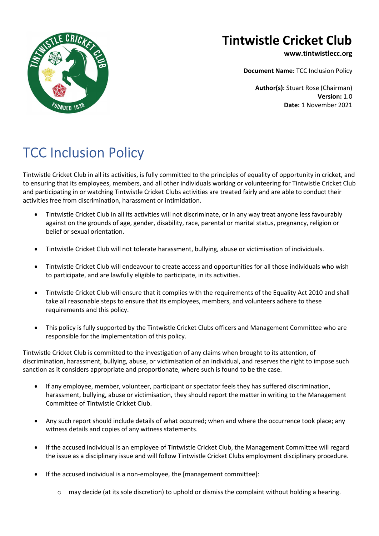

## Tintwistle Cricket Club

www.tintwistlecc.org

Document Name: TCC Inclusion Policy

Author(s): Stuart Rose (Chairman) Version: 1.0 Date: 1 November 2021

## TCC Inclusion Policy

Tintwistle Cricket Club in all its activities, is fully committed to the principles of equality of opportunity in cricket, and to ensuring that its employees, members, and all other individuals working or volunteering for Tintwistle Cricket Club and participating in or watching Tintwistle Cricket Clubs activities are treated fairly and are able to conduct their activities free from discrimination, harassment or intimidation.

- Tintwistle Cricket Club in all its activities will not discriminate, or in any way treat anyone less favourably against on the grounds of age, gender, disability, race, parental or marital status, pregnancy, religion or belief or sexual orientation.
- Tintwistle Cricket Club will not tolerate harassment, bullying, abuse or victimisation of individuals.
- Tintwistle Cricket Club will endeavour to create access and opportunities for all those individuals who wish to participate, and are lawfully eligible to participate, in its activities.
- Tintwistle Cricket Club will ensure that it complies with the requirements of the Equality Act 2010 and shall take all reasonable steps to ensure that its employees, members, and volunteers adhere to these requirements and this policy.
- This policy is fully supported by the Tintwistle Cricket Clubs officers and Management Committee who are responsible for the implementation of this policy.

Tintwistle Cricket Club is committed to the investigation of any claims when brought to its attention, of discrimination, harassment, bullying, abuse, or victimisation of an individual, and reserves the right to impose such sanction as it considers appropriate and proportionate, where such is found to be the case.

- If any employee, member, volunteer, participant or spectator feels they has suffered discrimination, harassment, bullying, abuse or victimisation, they should report the matter in writing to the Management Committee of Tintwistle Cricket Club.
- Any such report should include details of what occurred; when and where the occurrence took place; any witness details and copies of any witness statements.
- If the accused individual is an employee of Tintwistle Cricket Club, the Management Committee will regard the issue as a disciplinary issue and will follow Tintwistle Cricket Clubs employment disciplinary procedure.
- If the accused individual is a non-employee, the [management committee]:
	- $\circ$  may decide (at its sole discretion) to uphold or dismiss the complaint without holding a hearing.